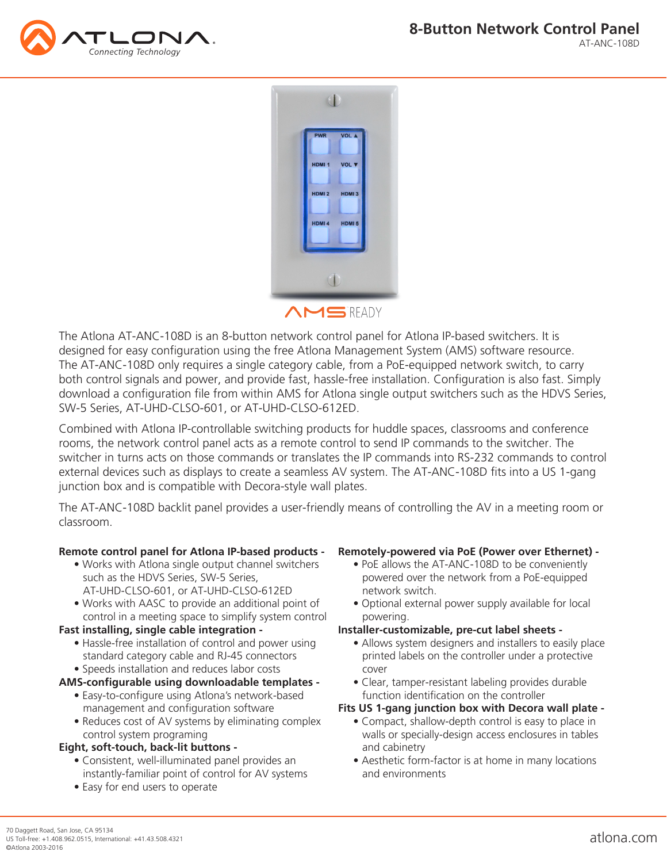



The Atlona AT-ANC-108D is an 8-button network control panel for Atlona IP-based switchers. It is designed for easy configuration using the free Atlona Management System (AMS) software resource. The AT-ANC-108D only requires a single category cable, from a PoE-equipped network switch, to carry both control signals and power, and provide fast, hassle-free installation. Configuration is also fast. Simply download a configuration file from within AMS for Atlona single output switchers such as the HDVS Series, SW-5 Series, AT-UHD-CLSO-601, or AT-UHD-CLSO-612ED.

Combined with Atlona IP-controllable switching products for huddle spaces, classrooms and conference rooms, the network control panel acts as a remote control to send IP commands to the switcher. The switcher in turns acts on those commands or translates the IP commands into RS-232 commands to control external devices such as displays to create a seamless AV system. The AT-ANC-108D fits into a US 1-gang junction box and is compatible with Decora-style wall plates.

The AT-ANC-108D backlit panel provides a user-friendly means of controlling the AV in a meeting room or classroom.

# **Remote control panel for Atlona IP-based products -**

- Works with Atlona single output channel switchers such as the HDVS Series, SW-5 Series, AT-UHD-CLSO-601, or AT-UHD-CLSO-612ED
- Works with AASC to provide an additional point of control in a meeting space to simplify system control

# **Fast installing, single cable integration -**

 • Hassle-free installation of control and power using standard category cable and RJ-45 connectors • Speeds installation and reduces labor costs

# **AMS-configurable using downloadable templates -**

- Easy-to-configure using Atlona's network-based management and configuration software
- Reduces cost of AV systems by eliminating complex control system programing

# **Eight, soft-touch, back-lit buttons -**

- Consistent, well-illuminated panel provides an instantly-familiar point of control for AV systems
- Easy for end users to operate

# **Remotely-powered via PoE (Power over Ethernet) -**

- PoE allows the AT-ANC-108D to be conveniently powered over the network from a PoE-equipped network switch.
- Optional external power supply available for local powering.

## **Installer-customizable, pre-cut label sheets -**

- Allows system designers and installers to easily place printed labels on the controller under a protective cover
- Clear, tamper-resistant labeling provides durable function identification on the controller

## **Fits US 1-gang junction box with Decora wall plate -**

- Compact, shallow-depth control is easy to place in walls or specially-design access enclosures in tables and cabinetry
- Aesthetic form-factor is at home in many locations and environments